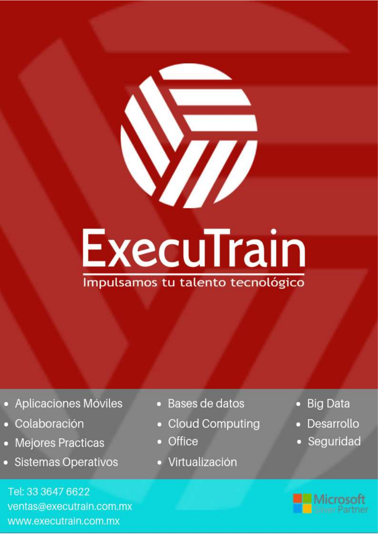# **ExecuTrain**

Impulsamos tu talento tecnológico

- Aplicaciones Móviles
- Colaboración
- Mejores Practicas
- **Sistemas Operativos**

Tel: 33 3647 6622 ventas@executrain.com.mx www.executrain.com.mx

- Bases de datos
- **Cloud Computing**
- Office
- Virtualización
- **Big Data**
- Desarrollo
- Seguridad

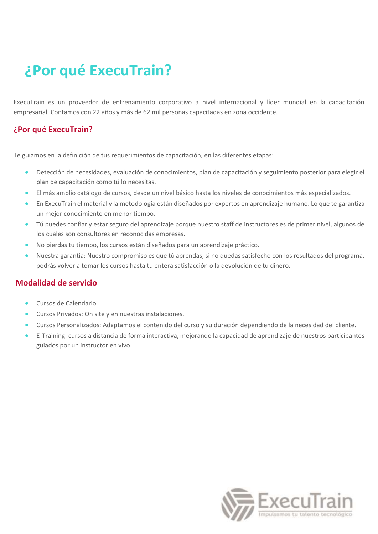## **¿Por qué ExecuTrain?**

ExecuTrain es un proveedor de entrenamiento corporativo a nivel internacional y líder mundial en la capacitación empresarial. Contamos con 22 años y más de 62 mil personas capacitadas en zona occidente.

#### **¿Por qué ExecuTrain?**

Te guiamos en la definición de tus requerimientos de capacitación, en las diferentes etapas:

- Detección de necesidades, evaluación de conocimientos, plan de capacitación y seguimiento posterior para elegir el plan de capacitación como tú lo necesitas.
- El más amplio catálogo de cursos, desde un nivel básico hasta los niveles de conocimientos más especializados.
- En ExecuTrain el material y la metodología están diseñados por expertos en aprendizaje humano. Lo que te garantiza un mejor conocimiento en menor tiempo.
- Tú puedes confiar y estar seguro del aprendizaje porque nuestro staff de instructores es de primer nivel, algunos de los cuales son consultores en reconocidas empresas.
- No pierdas tu tiempo, los cursos están diseñados para un aprendizaje práctico.
- Nuestra garantía: Nuestro compromiso es que tú aprendas, si no quedas satisfecho con los resultados del programa, podrás volver a tomar los cursos hasta tu entera satisfacción o la devolución de tu dinero.

#### **Modalidad de servicio**

- Cursos de Calendario
- Cursos Privados: On site y en nuestras instalaciones.
- Cursos Personalizados: Adaptamos el contenido del curso y su duración dependiendo de la necesidad del cliente.
- E-Training: cursos a distancia de forma interactiva, mejorando la capacidad de aprendizaje de nuestros participantes guiados por un instructor en vivo.

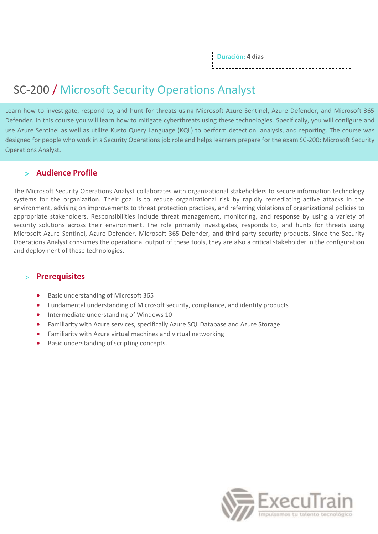| Duración: 4 días |  |
|------------------|--|
|                  |  |
|                  |  |
|                  |  |
|                  |  |

### SC-200 / Microsoft Security Operations Analyst

Learn how to investigate, respond to, and hunt for threats using Microsoft Azure Sentinel, Azure Defender, and Microsoft 365 Defender. In this course you will learn how to mitigate cyberthreats using these technologies. Specifically, you will configure and use Azure Sentinel as well as utilize Kusto Query Language (KQL) to perform detection, analysis, and reporting. The course was designed for people who work in a Security Operations job role and helps learners prepare for the exam SC-200: Microsoft Security Operations Analyst.

#### **Audience Profile**

The Microsoft Security Operations Analyst collaborates with organizational stakeholders to secure information technology systems for the organization. Their goal is to reduce organizational risk by rapidly remediating active attacks in the environment, advising on improvements to threat protection practices, and referring violations of organizational policies to appropriate stakeholders. Responsibilities include threat management, monitoring, and response by using a variety of security solutions across their environment. The role primarily investigates, responds to, and hunts for threats using Microsoft Azure Sentinel, Azure Defender, Microsoft 365 Defender, and third-party security products. Since the Security Operations Analyst consumes the operational output of these tools, they are also a critical stakeholder in the configuration and deployment of these technologies.

#### **Prerequisites**

- Basic understanding of Microsoft 365
- Fundamental understanding of Microsoft security, compliance, and identity products
- Intermediate understanding of Windows 10
- Familiarity with Azure services, specifically Azure SQL Database and Azure Storage
- Familiarity with Azure virtual machines and virtual networking
- Basic understanding of scripting concepts.

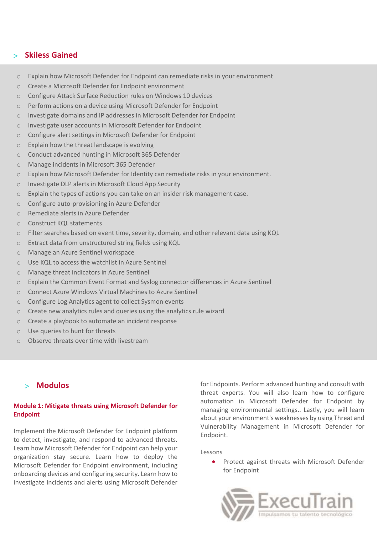#### **Skiless Gained**

- $\circ$  Explain how Microsoft Defender for Endpoint can remediate risks in your environment
- o Create a Microsoft Defender for Endpoint environment
- o Configure Attack Surface Reduction rules on Windows 10 devices
- o Perform actions on a device using Microsoft Defender for Endpoint
- o Investigate domains and IP addresses in Microsoft Defender for Endpoint
- o Investigate user accounts in Microsoft Defender for Endpoint
- o Configure alert settings in Microsoft Defender for Endpoint
- o Explain how the threat landscape is evolving
- o Conduct advanced hunting in Microsoft 365 Defender
- o Manage incidents in Microsoft 365 Defender
- o Explain how Microsoft Defender for Identity can remediate risks in your environment.
- o Investigate DLP alerts in Microsoft Cloud App Security
- $\circ$  Explain the types of actions you can take on an insider risk management case.
- o Configure auto-provisioning in Azure Defender
- o Remediate alerts in Azure Defender
- o Construct KQL statements
- o Filter searches based on event time, severity, domain, and other relevant data using KQL
- o Extract data from unstructured string fields using KQL
- o Manage an Azure Sentinel workspace
- o Use KQL to access the watchlist in Azure Sentinel
- o Manage threat indicators in Azure Sentinel
- o Explain the Common Event Format and Syslog connector differences in Azure Sentinel
- o Connect Azure Windows Virtual Machines to Azure Sentinel
- o Configure Log Analytics agent to collect Sysmon events
- o Create new analytics rules and queries using the analytics rule wizard
- o Create a playbook to automate an incident response
- o Use queries to hunt for threats
- o Observe threats over time with livestream

#### **Modulos**

#### **Module 1: Mitigate threats using Microsoft Defender for Endpoint**

Implement the Microsoft Defender for Endpoint platform to detect, investigate, and respond to advanced threats. Learn how Microsoft Defender for Endpoint can help your organization stay secure. Learn how to deploy the Microsoft Defender for Endpoint environment, including onboarding devices and configuring security. Learn how to investigate incidents and alerts using Microsoft Defender

for Endpoints. Perform advanced hunting and consult with threat experts. You will also learn how to configure automation in Microsoft Defender for Endpoint by managing environmental settings.. Lastly, you will learn about your environment's weaknesses by using Threat and Vulnerability Management in Microsoft Defender for Endpoint.

#### Lessons

• Protect against threats with Microsoft Defender for Endpoint

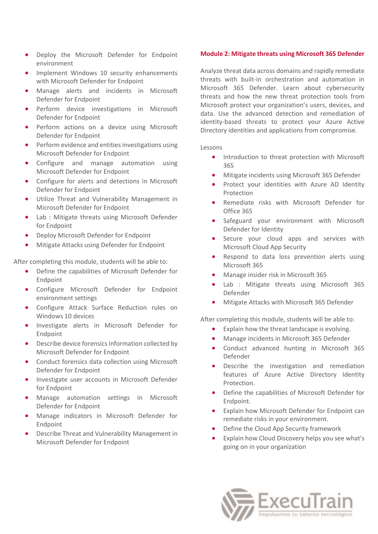- Deploy the Microsoft Defender for Endpoint environment
- Implement Windows 10 security enhancements with Microsoft Defender for Endpoint
- Manage alerts and incidents in Microsoft Defender for Endpoint
- Perform device investigations in Microsoft Defender for Endpoint
- Perform actions on a device using Microsoft Defender for Endpoint
- Perform evidence and entities investigations using Microsoft Defender for Endpoint
- Configure and manage automation using Microsoft Defender for Endpoint
- Configure for alerts and detections in Microsoft Defender for Endpoint
- Utilize Threat and Vulnerability Management in Microsoft Defender for Endpoint
- Lab : Mitigate threats using Microsoft Defender for Endpoint
- Deploy Microsoft Defender for Endpoint
- Mitigate Attacks using Defender for Endpoint

After completing this module, students will be able to:

- Define the capabilities of Microsoft Defender for Endpoint
- Configure Microsoft Defender for Endpoint environment settings
- Configure Attack Surface Reduction rules on Windows 10 devices
- Investigate alerts in Microsoft Defender for Endpoint
- Describe device forensics information collected by Microsoft Defender for Endpoint
- Conduct forensics data collection using Microsoft Defender for Endpoint
- Investigate user accounts in Microsoft Defender for Endpoint
- Manage automation settings in Microsoft Defender for Endpoint
- Manage indicators in Microsoft Defender for Endpoint
- Describe Threat and Vulnerability Management in Microsoft Defender for Endpoint

#### **Module 2: Mitigate threats using Microsoft 365 Defender**

Analyze threat data across domains and rapidly remediate threats with built-in orchestration and automation in Microsoft 365 Defender. Learn about cybersecurity threats and how the new threat protection tools from Microsoft protect your organization's users, devices, and data. Use the advanced detection and remediation of identity-based threats to protect your Azure Active Directory identities and applications from compromise.

#### Lessons

- Introduction to threat protection with Microsoft 365
- Mitigate incidents using Microsoft 365 Defender
- Protect your identities with Azure AD Identity Protection
- Remediate risks with Microsoft Defender for Office 365
- Safeguard your environment with Microsoft Defender for Identity
- Secure your cloud apps and services with Microsoft Cloud App Security
- Respond to data loss prevention alerts using Microsoft 365
- Manage insider risk in Microsoft 365
- Lab : Mitigate threats using Microsoft 365 Defender
- Mitigate Attacks with Microsoft 365 Defender

After completing this module, students will be able to:

- Explain how the threat landscape is evolving.
- Manage incidents in Microsoft 365 Defender
- Conduct advanced hunting in Microsoft 365 Defender
- Describe the investigation and remediation features of Azure Active Directory Identity Protection.
- Define the capabilities of Microsoft Defender for Endpoint.
- Explain how Microsoft Defender for Endpoint can remediate risks in your environment.
- Define the Cloud App Security framework
- Explain how Cloud Discovery helps you see what's going on in your organization

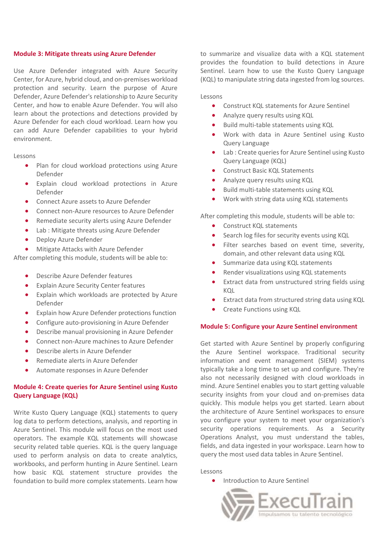#### **Module 3: Mitigate threats using Azure Defender**

Use Azure Defender integrated with Azure Security Center, for Azure, hybrid cloud, and on-premises workload protection and security. Learn the purpose of Azure Defender, Azure Defender's relationship to Azure Security Center, and how to enable Azure Defender. You will also learn about the protections and detections provided by Azure Defender for each cloud workload. Learn how you can add Azure Defender capabilities to your hybrid environment.

#### Lessons

- Plan for cloud workload protections using Azure Defender
- Explain cloud workload protections in Azure Defender
- Connect Azure assets to Azure Defender
- Connect non-Azure resources to Azure Defender
- Remediate security alerts using Azure Defender
- Lab : Mitigate threats using Azure Defender
- Deploy Azure Defender
- Mitigate Attacks with Azure Defender

After completing this module, students will be able to:

- Describe Azure Defender features
- **Explain Azure Security Center features**
- Explain which workloads are protected by Azure Defender
- Explain how Azure Defender protections function
- Configure auto-provisioning in Azure Defender
- Describe manual provisioning in Azure Defender
- Connect non-Azure machines to Azure Defender
- Describe alerts in Azure Defender
- Remediate alerts in Azure Defender
- Automate responses in Azure Defender

#### **Module 4: Create queries for Azure Sentinel using Kusto Query Language (KQL)**

Write Kusto Query Language (KQL) statements to query log data to perform detections, analysis, and reporting in Azure Sentinel. This module will focus on the most used operators. The example KQL statements will showcase security related table queries. KQL is the query language used to perform analysis on data to create analytics, workbooks, and perform hunting in Azure Sentinel. Learn how basic KQL statement structure provides the foundation to build more complex statements. Learn how

to summarize and visualize data with a KQL statement provides the foundation to build detections in Azure Sentinel. Learn how to use the Kusto Query Language (KQL) to manipulate string data ingested from log sources.

Lessons

- Construct KQL statements for Azure Sentinel
- Analyze query results using KQL
- Build multi-table statements using KQL
- Work with data in Azure Sentinel using Kusto Query Language
- Lab : Create queries for Azure Sentinel using Kusto Query Language (KQL)
- Construct Basic KQL Statements
- Analyze query results using KQL
- Build multi-table statements using KQL
- Work with string data using KQL statements

After completing this module, students will be able to:

- Construct KQL statements
- Search log files for security events using KQL
- Filter searches based on event time, severity, domain, and other relevant data using KQL
- Summarize data using KQL statements
- Render visualizations using KQL statements
- Extract data from unstructured string fields using KQL
- Extract data from structured string data using KQL
- Create Functions using KQL

#### **Module 5: Configure your Azure Sentinel environment**

Get started with Azure Sentinel by properly configuring the Azure Sentinel workspace. Traditional security information and event management (SIEM) systems typically take a long time to set up and configure. They're also not necessarily designed with cloud workloads in mind. Azure Sentinel enables you to start getting valuable security insights from your cloud and on-premises data quickly. This module helps you get started. Learn about the architecture of Azure Sentinel workspaces to ensure you configure your system to meet your organization's security operations requirements. As a Security Operations Analyst, you must understand the tables, fields, and data ingested in your workspace. Learn how to query the most used data tables in Azure Sentinel.

#### Lessons

Introduction to Azure Sentinel

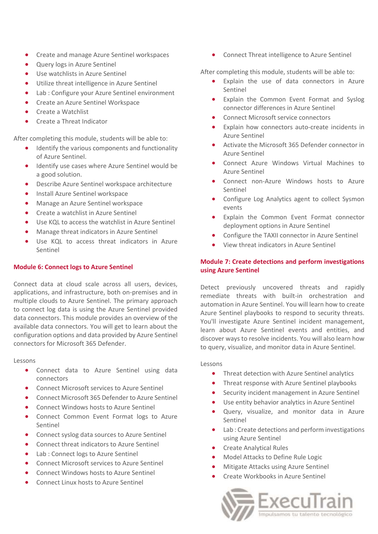- Create and manage Azure Sentinel workspaces
- Query logs in Azure Sentinel
- Use watchlists in Azure Sentinel
- Utilize threat intelligence in Azure Sentinel
- Lab : Configure your Azure Sentinel environment
- Create an Azure Sentinel Workspace
- Create a Watchlist
- Create a Threat Indicator

After completing this module, students will be able to:

- Identify the various components and functionality of Azure Sentinel.
- Identify use cases where Azure Sentinel would be a good solution.
- Describe Azure Sentinel workspace architecture
- Install Azure Sentinel workspace
- Manage an Azure Sentinel workspace
- Create a watchlist in Azure Sentinel
- Use KQL to access the watchlist in Azure Sentinel
- Manage threat indicators in Azure Sentinel
- Use KQL to access threat indicators in Azure Sentinel

#### **Module 6: Connect logs to Azure Sentinel**

Connect data at cloud scale across all users, devices, applications, and infrastructure, both on-premises and in multiple clouds to Azure Sentinel. The primary approach to connect log data is using the Azure Sentinel provided data connectors. This module provides an overview of the available data connectors. You will get to learn about the configuration options and data provided by Azure Sentinel connectors for Microsoft 365 Defender.

#### Lessons

- Connect data to Azure Sentinel using data connectors
- Connect Microsoft services to Azure Sentinel
- Connect Microsoft 365 Defender to Azure Sentinel
- Connect Windows hosts to Azure Sentinel
- Connect Common Event Format logs to Azure Sentinel
- Connect syslog data sources to Azure Sentinel
- Connect threat indicators to Azure Sentinel
- Lab : Connect logs to Azure Sentinel
- Connect Microsoft services to Azure Sentinel
- Connect Windows hosts to Azure Sentinel
- Connect Linux hosts to Azure Sentinel

• Connect Threat intelligence to Azure Sentinel

After completing this module, students will be able to:

- Explain the use of data connectors in Azure Sentinel
- Explain the Common Event Format and Syslog connector differences in Azure Sentinel
- Connect Microsoft service connectors
- Explain how connectors auto-create incidents in Azure Sentinel
- Activate the Microsoft 365 Defender connector in Azure Sentinel
- Connect Azure Windows Virtual Machines to Azure Sentinel
- Connect non-Azure Windows hosts to Azure Sentinel
- Configure Log Analytics agent to collect Sysmon events
- Explain the Common Event Format connector deployment options in Azure Sentinel
- Configure the TAXII connector in Azure Sentinel
- View threat indicators in Azure Sentinel

#### **Module 7: Create detections and perform investigations using Azure Sentinel**

Detect previously uncovered threats and rapidly remediate threats with built-in orchestration and automation in Azure Sentinel. You will learn how to create Azure Sentinel playbooks to respond to security threats. You'll investigate Azure Sentinel incident management, learn about Azure Sentinel events and entities, and discover ways to resolve incidents. You will also learn how to query, visualize, and monitor data in Azure Sentinel.

#### Lessons

- Threat detection with Azure Sentinel analytics
- Threat response with Azure Sentinel playbooks
- Security incident management in Azure Sentinel
- Use entity behavior analytics in Azure Sentinel
- Query, visualize, and monitor data in Azure Sentinel
- Lab : Create detections and perform investigations using Azure Sentinel
- Create Analytical Rules
- Model Attacks to Define Rule Logic
- Mitigate Attacks using Azure Sentinel
- Create Workbooks in Azure Sentinel